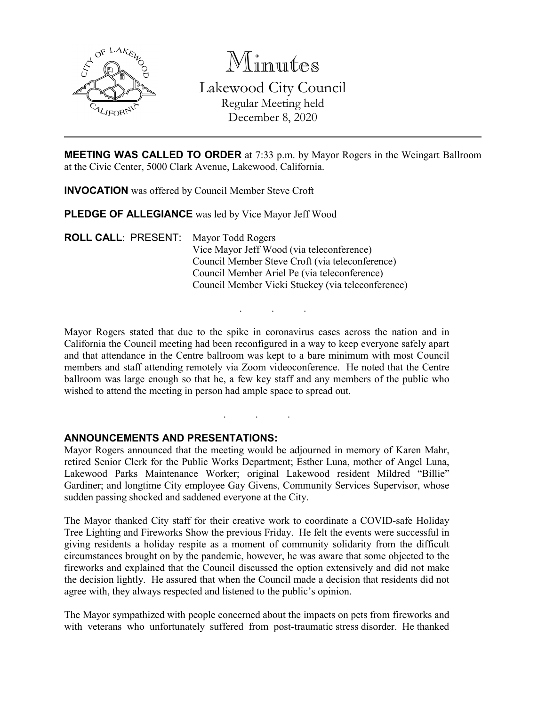

Minutes Lakewood City Council Regular Meeting held December 8, 2020

**MEETING WAS CALLED TO ORDER** at 7:33 p.m. by Mayor Rogers in the Weingart Ballroom at the Civic Center, 5000 Clark Avenue, Lakewood, California.

**INVOCATION** was offered by Council Member Steve Croft

**PLEDGE OF ALLEGIANCE** was led by Vice Mayor Jeff Wood

**ROLL CALL**: PRESENT: Mayor Todd Rogers Vice Mayor Jeff Wood (via teleconference) Council Member Steve Croft (via teleconference) Council Member Ariel Pe (via teleconference) Council Member Vicki Stuckey (via teleconference)

Mayor Rogers stated that due to the spike in coronavirus cases across the nation and in California the Council meeting had been reconfigured in a way to keep everyone safely apart and that attendance in the Centre ballroom was kept to a bare minimum with most Council members and staff attending remotely via Zoom videoconference. He noted that the Centre ballroom was large enough so that he, a few key staff and any members of the public who wished to attend the meeting in person had ample space to spread out.

. . .

. . .

#### **ANNOUNCEMENTS AND PRESENTATIONS:**

Mayor Rogers announced that the meeting would be adjourned in memory of Karen Mahr, retired Senior Clerk for the Public Works Department; Esther Luna, mother of Angel Luna, Lakewood Parks Maintenance Worker; original Lakewood resident Mildred "Billie" Gardiner; and longtime City employee Gay Givens, Community Services Supervisor, whose sudden passing shocked and saddened everyone at the City.

The Mayor thanked City staff for their creative work to coordinate a COVID-safe Holiday Tree Lighting and Fireworks Show the previous Friday. He felt the events were successful in giving residents a holiday respite as a moment of community solidarity from the difficult circumstances brought on by the pandemic, however, he was aware that some objected to the fireworks and explained that the Council discussed the option extensively and did not make the decision lightly. He assured that when the Council made a decision that residents did not agree with, they always respected and listened to the public's opinion.

The Mayor sympathized with people concerned about the impacts on pets from fireworks and with veterans who unfortunately suffered from post-traumatic stress disorder. He thanked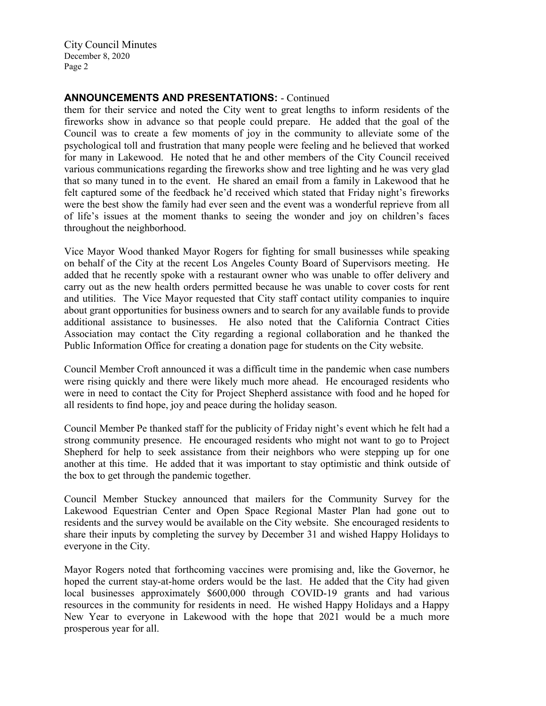### **ANNOUNCEMENTS AND PRESENTATIONS:** - Continued

them for their service and noted the City went to great lengths to inform residents of the fireworks show in advance so that people could prepare. He added that the goal of the Council was to create a few moments of joy in the community to alleviate some of the psychological toll and frustration that many people were feeling and he believed that worked for many in Lakewood. He noted that he and other members of the City Council received various communications regarding the fireworks show and tree lighting and he was very glad that so many tuned in to the event. He shared an email from a family in Lakewood that he felt captured some of the feedback he'd received which stated that Friday night's fireworks were the best show the family had ever seen and the event was a wonderful reprieve from all of life's issues at the moment thanks to seeing the wonder and joy on children's faces throughout the neighborhood.

Vice Mayor Wood thanked Mayor Rogers for fighting for small businesses while speaking on behalf of the City at the recent Los Angeles County Board of Supervisors meeting. He added that he recently spoke with a restaurant owner who was unable to offer delivery and carry out as the new health orders permitted because he was unable to cover costs for rent and utilities. The Vice Mayor requested that City staff contact utility companies to inquire about grant opportunities for business owners and to search for any available funds to provide additional assistance to businesses. He also noted that the California Contract Cities Association may contact the City regarding a regional collaboration and he thanked the Public Information Office for creating a donation page for students on the City website.

Council Member Croft announced it was a difficult time in the pandemic when case numbers were rising quickly and there were likely much more ahead. He encouraged residents who were in need to contact the City for Project Shepherd assistance with food and he hoped for all residents to find hope, joy and peace during the holiday season.

Council Member Pe thanked staff for the publicity of Friday night's event which he felt had a strong community presence. He encouraged residents who might not want to go to Project Shepherd for help to seek assistance from their neighbors who were stepping up for one another at this time. He added that it was important to stay optimistic and think outside of the box to get through the pandemic together.

Council Member Stuckey announced that mailers for the Community Survey for the Lakewood Equestrian Center and Open Space Regional Master Plan had gone out to residents and the survey would be available on the City website. She encouraged residents to share their inputs by completing the survey by December 31 and wished Happy Holidays to everyone in the City.

Mayor Rogers noted that forthcoming vaccines were promising and, like the Governor, he hoped the current stay-at-home orders would be the last. He added that the City had given local businesses approximately \$600,000 through COVID-19 grants and had various resources in the community for residents in need. He wished Happy Holidays and a Happy New Year to everyone in Lakewood with the hope that 2021 would be a much more prosperous year for all.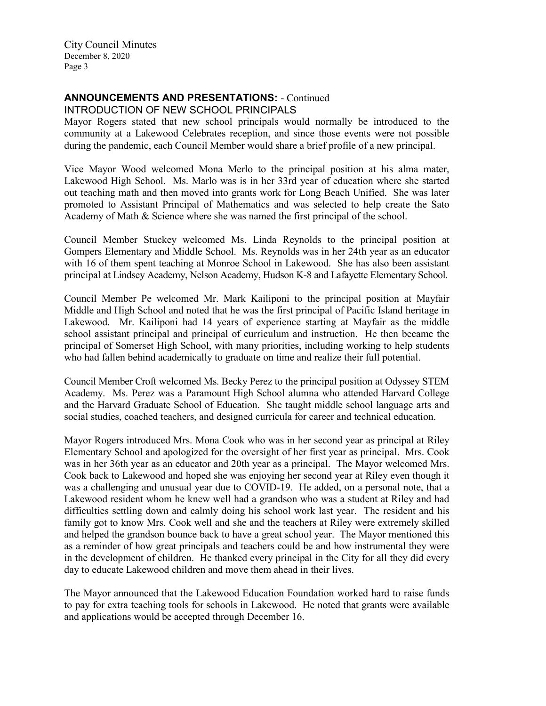# **ANNOUNCEMENTS AND PRESENTATIONS:** - Continued

INTRODUCTION OF NEW SCHOOL PRINCIPALS

Mayor Rogers stated that new school principals would normally be introduced to the community at a Lakewood Celebrates reception, and since those events were not possible during the pandemic, each Council Member would share a brief profile of a new principal.

Vice Mayor Wood welcomed Mona Merlo to the principal position at his alma mater, Lakewood High School. Ms. Marlo was is in her 33rd year of education where she started out teaching math and then moved into grants work for Long Beach Unified. She was later promoted to Assistant Principal of Mathematics and was selected to help create the Sato Academy of Math & Science where she was named the first principal of the school.

Council Member Stuckey welcomed Ms. Linda Reynolds to the principal position at Gompers Elementary and Middle School. Ms. Reynolds was in her 24th year as an educator with 16 of them spent teaching at Monroe School in Lakewood. She has also been assistant principal at Lindsey Academy, Nelson Academy, Hudson K-8 and Lafayette Elementary School.

Council Member Pe welcomed Mr. Mark Kailiponi to the principal position at Mayfair Middle and High School and noted that he was the first principal of Pacific Island heritage in Lakewood. Mr. Kailiponi had 14 years of experience starting at Mayfair as the middle school assistant principal and principal of curriculum and instruction. He then became the principal of Somerset High School, with many priorities, including working to help students who had fallen behind academically to graduate on time and realize their full potential.

Council Member Croft welcomed Ms. Becky Perez to the principal position at Odyssey STEM Academy. Ms. Perez was a Paramount High School alumna who attended Harvard College and the Harvard Graduate School of Education. She taught middle school language arts and social studies, coached teachers, and designed curricula for career and technical education.

Mayor Rogers introduced Mrs. Mona Cook who was in her second year as principal at Riley Elementary School and apologized for the oversight of her first year as principal. Mrs. Cook was in her 36th year as an educator and 20th year as a principal. The Mayor welcomed Mrs. Cook back to Lakewood and hoped she was enjoying her second year at Riley even though it was a challenging and unusual year due to COVID-19. He added, on a personal note, that a Lakewood resident whom he knew well had a grandson who was a student at Riley and had difficulties settling down and calmly doing his school work last year. The resident and his family got to know Mrs. Cook well and she and the teachers at Riley were extremely skilled and helped the grandson bounce back to have a great school year. The Mayor mentioned this as a reminder of how great principals and teachers could be and how instrumental they were in the development of children. He thanked every principal in the City for all they did every day to educate Lakewood children and move them ahead in their lives.

The Mayor announced that the Lakewood Education Foundation worked hard to raise funds to pay for extra teaching tools for schools in Lakewood. He noted that grants were available and applications would be accepted through December 16.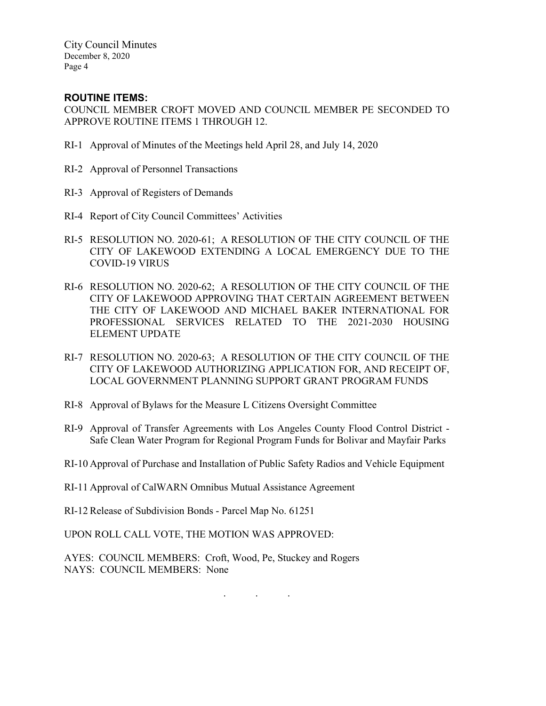## **ROUTINE ITEMS:**

COUNCIL MEMBER CROFT MOVED AND COUNCIL MEMBER PE SECONDED TO APPROVE ROUTINE ITEMS 1 THROUGH 12.

- RI-1 Approval of Minutes of the Meetings held April 28, and July 14, 2020
- RI-2 Approval of Personnel Transactions
- RI-3 Approval of Registers of Demands
- RI-4 Report of City Council Committees' Activities
- RI-5 RESOLUTION NO. 2020-61; A RESOLUTION OF THE CITY COUNCIL OF THE CITY OF LAKEWOOD EXTENDING A LOCAL EMERGENCY DUE TO THE COVID-19 VIRUS
- RI-6 RESOLUTION NO. 2020-62; A RESOLUTION OF THE CITY COUNCIL OF THE CITY OF LAKEWOOD APPROVING THAT CERTAIN AGREEMENT BETWEEN THE CITY OF LAKEWOOD AND MICHAEL BAKER INTERNATIONAL FOR PROFESSIONAL SERVICES RELATED TO THE 2021-2030 HOUSING ELEMENT UPDATE
- RI-7 RESOLUTION NO. 2020-63; A RESOLUTION OF THE CITY COUNCIL OF THE CITY OF LAKEWOOD AUTHORIZING APPLICATION FOR, AND RECEIPT OF, LOCAL GOVERNMENT PLANNING SUPPORT GRANT PROGRAM FUNDS
- RI-8 Approval of Bylaws for the Measure L Citizens Oversight Committee
- RI-9 Approval of Transfer Agreements with Los Angeles County Flood Control District Safe Clean Water Program for Regional Program Funds for Bolivar and Mayfair Parks
- RI-10 Approval of Purchase and Installation of Public Safety Radios and Vehicle Equipment
- RI-11 Approval of CalWARN Omnibus Mutual Assistance Agreement

RI-12 Release of Subdivision Bonds - Parcel Map No. 61251

UPON ROLL CALL VOTE, THE MOTION WAS APPROVED:

AYES: COUNCIL MEMBERS: Croft, Wood, Pe, Stuckey and Rogers NAYS: COUNCIL MEMBERS: None

. . .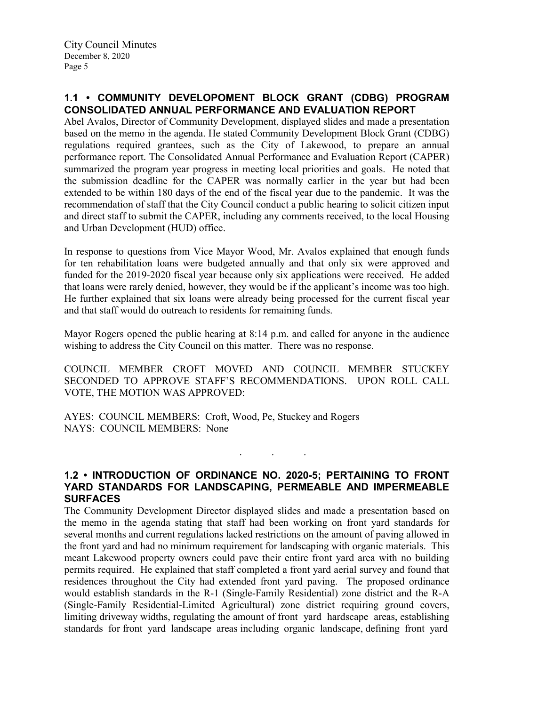### **1.1 • COMMUNITY DEVELOPOMENT BLOCK GRANT (CDBG) PROGRAM CONSOLIDATED ANNUAL PERFORMANCE AND EVALUATION REPORT**

Abel Avalos, Director of Community Development, displayed slides and made a presentation based on the memo in the agenda. He stated Community Development Block Grant (CDBG) regulations required grantees, such as the City of Lakewood, to prepare an annual performance report. The Consolidated Annual Performance and Evaluation Report (CAPER) summarized the program year progress in meeting local priorities and goals. He noted that the submission deadline for the CAPER was normally earlier in the year but had been extended to be within 180 days of the end of the fiscal year due to the pandemic. It was the recommendation of staff that the City Council conduct a public hearing to solicit citizen input and direct staff to submit the CAPER, including any comments received, to the local Housing and Urban Development (HUD) office.

In response to questions from Vice Mayor Wood, Mr. Avalos explained that enough funds for ten rehabilitation loans were budgeted annually and that only six were approved and funded for the 2019-2020 fiscal year because only six applications were received. He added that loans were rarely denied, however, they would be if the applicant's income was too high. He further explained that six loans were already being processed for the current fiscal year and that staff would do outreach to residents for remaining funds.

Mayor Rogers opened the public hearing at 8:14 p.m. and called for anyone in the audience wishing to address the City Council on this matter. There was no response.

COUNCIL MEMBER CROFT MOVED AND COUNCIL MEMBER STUCKEY SECONDED TO APPROVE STAFF'S RECOMMENDATIONS. UPON ROLL CALL VOTE, THE MOTION WAS APPROVED:

AYES: COUNCIL MEMBERS: Croft, Wood, Pe, Stuckey and Rogers NAYS: COUNCIL MEMBERS: None

### **1.2 • INTRODUCTION OF ORDINANCE NO. 2020-5; PERTAINING TO FRONT YARD STANDARDS FOR LANDSCAPING, PERMEABLE AND IMPERMEABLE SURFACES**

. . .

The Community Development Director displayed slides and made a presentation based on the memo in the agenda stating that staff had been working on front yard standards for several months and current regulations lacked restrictions on the amount of paving allowed in the front yard and had no minimum requirement for landscaping with organic materials. This meant Lakewood property owners could pave their entire front yard area with no building permits required. He explained that staff completed a front yard aerial survey and found that residences throughout the City had extended front yard paving. The proposed ordinance would establish standards in the R-1 (Single-Family Residential) zone district and the R-A (Single-Family Residential-Limited Agricultural) zone district requiring ground covers, limiting driveway widths, regulating the amount of front yard hardscape areas, establishing standards for front yard landscape areas including organic landscape, defining front yard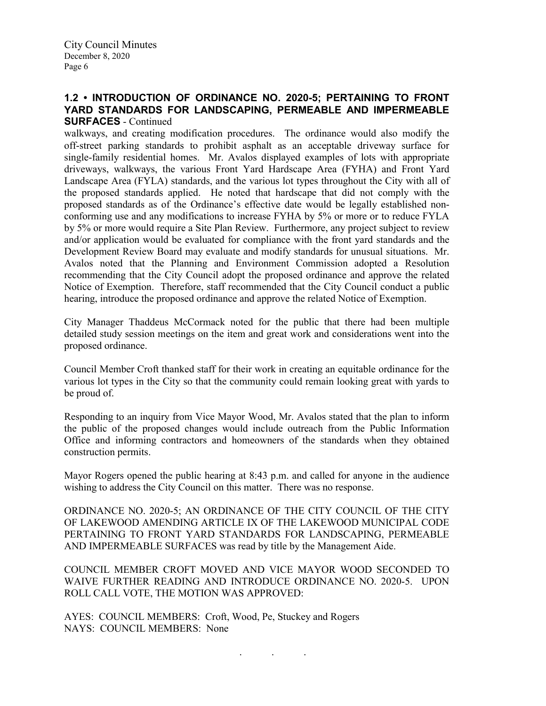### **1.2 • INTRODUCTION OF ORDINANCE NO. 2020-5; PERTAINING TO FRONT YARD STANDARDS FOR LANDSCAPING, PERMEABLE AND IMPERMEABLE SURFACES** - Continued

walkways, and creating modification procedures. The ordinance would also modify the off-street parking standards to prohibit asphalt as an acceptable driveway surface for single-family residential homes. Mr. Avalos displayed examples of lots with appropriate driveways, walkways, the various Front Yard Hardscape Area (FYHA) and Front Yard Landscape Area (FYLA) standards, and the various lot types throughout the City with all of the proposed standards applied. He noted that hardscape that did not comply with the proposed standards as of the Ordinance's effective date would be legally established nonconforming use and any modifications to increase FYHA by 5% or more or to reduce FYLA by 5% or more would require a Site Plan Review. Furthermore, any project subject to review and/or application would be evaluated for compliance with the front yard standards and the Development Review Board may evaluate and modify standards for unusual situations. Mr. Avalos noted that the Planning and Environment Commission adopted a Resolution recommending that the City Council adopt the proposed ordinance and approve the related Notice of Exemption. Therefore, staff recommended that the City Council conduct a public hearing, introduce the proposed ordinance and approve the related Notice of Exemption.

City Manager Thaddeus McCormack noted for the public that there had been multiple detailed study session meetings on the item and great work and considerations went into the proposed ordinance.

Council Member Croft thanked staff for their work in creating an equitable ordinance for the various lot types in the City so that the community could remain looking great with yards to be proud of.

Responding to an inquiry from Vice Mayor Wood, Mr. Avalos stated that the plan to inform the public of the proposed changes would include outreach from the Public Information Office and informing contractors and homeowners of the standards when they obtained construction permits.

Mayor Rogers opened the public hearing at 8:43 p.m. and called for anyone in the audience wishing to address the City Council on this matter. There was no response.

ORDINANCE NO. 2020-5; AN ORDINANCE OF THE CITY COUNCIL OF THE CITY OF LAKEWOOD AMENDING ARTICLE IX OF THE LAKEWOOD MUNICIPAL CODE PERTAINING TO FRONT YARD STANDARDS FOR LANDSCAPING, PERMEABLE AND IMPERMEABLE SURFACES was read by title by the Management Aide.

COUNCIL MEMBER CROFT MOVED AND VICE MAYOR WOOD SECONDED TO WAIVE FURTHER READING AND INTRODUCE ORDINANCE NO. 2020-5. UPON ROLL CALL VOTE, THE MOTION WAS APPROVED:

. . .

AYES: COUNCIL MEMBERS: Croft, Wood, Pe, Stuckey and Rogers NAYS: COUNCIL MEMBERS: None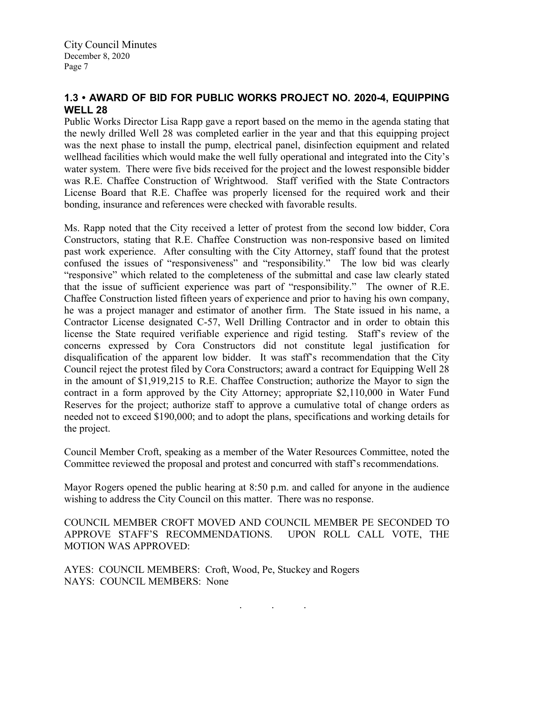# **1.3 • AWARD OF BID FOR PUBLIC WORKS PROJECT NO. 2020-4, EQUIPPING WELL 28**

Public Works Director Lisa Rapp gave a report based on the memo in the agenda stating that the newly drilled Well 28 was completed earlier in the year and that this equipping project was the next phase to install the pump, electrical panel, disinfection equipment and related wellhead facilities which would make the well fully operational and integrated into the City's water system. There were five bids received for the project and the lowest responsible bidder was R.E. Chaffee Construction of Wrightwood. Staff verified with the State Contractors License Board that R.E. Chaffee was properly licensed for the required work and their bonding, insurance and references were checked with favorable results.

Ms. Rapp noted that the City received a letter of protest from the second low bidder, Cora Constructors, stating that R.E. Chaffee Construction was non-responsive based on limited past work experience. After consulting with the City Attorney, staff found that the protest confused the issues of "responsiveness" and "responsibility." The low bid was clearly "responsive" which related to the completeness of the submittal and case law clearly stated that the issue of sufficient experience was part of "responsibility." The owner of R.E. Chaffee Construction listed fifteen years of experience and prior to having his own company, he was a project manager and estimator of another firm. The State issued in his name, a Contractor License designated C-57, Well Drilling Contractor and in order to obtain this license the State required verifiable experience and rigid testing. Staff's review of the concerns expressed by Cora Constructors did not constitute legal justification for disqualification of the apparent low bidder. It was staff's recommendation that the City Council reject the protest filed by Cora Constructors; award a contract for Equipping Well 28 in the amount of \$1,919,215 to R.E. Chaffee Construction; authorize the Mayor to sign the contract in a form approved by the City Attorney; appropriate \$2,110,000 in Water Fund Reserves for the project; authorize staff to approve a cumulative total of change orders as needed not to exceed \$190,000; and to adopt the plans, specifications and working details for the project.

Council Member Croft, speaking as a member of the Water Resources Committee, noted the Committee reviewed the proposal and protest and concurred with staff's recommendations.

Mayor Rogers opened the public hearing at 8:50 p.m. and called for anyone in the audience wishing to address the City Council on this matter. There was no response.

COUNCIL MEMBER CROFT MOVED AND COUNCIL MEMBER PE SECONDED TO APPROVE STAFF'S RECOMMENDATIONS. UPON ROLL CALL VOTE, THE MOTION WAS APPROVED:

AYES: COUNCIL MEMBERS: Croft, Wood, Pe, Stuckey and Rogers NAYS: COUNCIL MEMBERS: None

. . .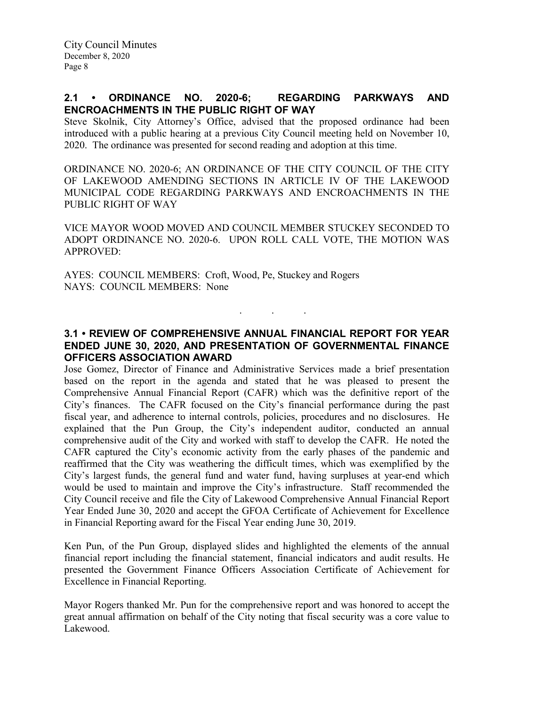### **2.1 • ORDINANCE NO. 2020-6; REGARDING PARKWAYS AND ENCROACHMENTS IN THE PUBLIC RIGHT OF WAY**

Steve Skolnik, City Attorney's Office, advised that the proposed ordinance had been introduced with a public hearing at a previous City Council meeting held on November 10, 2020. The ordinance was presented for second reading and adoption at this time.

ORDINANCE NO. 2020-6; AN ORDINANCE OF THE CITY COUNCIL OF THE CITY OF LAKEWOOD AMENDING SECTIONS IN ARTICLE IV OF THE LAKEWOOD MUNICIPAL CODE REGARDING PARKWAYS AND ENCROACHMENTS IN THE PUBLIC RIGHT OF WAY

VICE MAYOR WOOD MOVED AND COUNCIL MEMBER STUCKEY SECONDED TO ADOPT ORDINANCE NO. 2020-6. UPON ROLL CALL VOTE, THE MOTION WAS APPROVED:

AYES: COUNCIL MEMBERS: Croft, Wood, Pe, Stuckey and Rogers NAYS: COUNCIL MEMBERS: None

### **3.1 • REVIEW OF COMPREHENSIVE ANNUAL FINANCIAL REPORT FOR YEAR ENDED JUNE 30, 2020, AND PRESENTATION OF GOVERNMENTAL FINANCE OFFICERS ASSOCIATION AWARD**

. . .

Jose Gomez, Director of Finance and Administrative Services made a brief presentation based on the report in the agenda and stated that he was pleased to present the Comprehensive Annual Financial Report (CAFR) which was the definitive report of the City's finances. The CAFR focused on the City's financial performance during the past fiscal year, and adherence to internal controls, policies, procedures and no disclosures. He explained that the Pun Group, the City's independent auditor, conducted an annual comprehensive audit of the City and worked with staff to develop the CAFR. He noted the CAFR captured the City's economic activity from the early phases of the pandemic and reaffirmed that the City was weathering the difficult times, which was exemplified by the City's largest funds, the general fund and water fund, having surpluses at year-end which would be used to maintain and improve the City's infrastructure. Staff recommended the City Council receive and file the City of Lakewood Comprehensive Annual Financial Report Year Ended June 30, 2020 and accept the GFOA Certificate of Achievement for Excellence in Financial Reporting award for the Fiscal Year ending June 30, 2019.

Ken Pun, of the Pun Group, displayed slides and highlighted the elements of the annual financial report including the financial statement, financial indicators and audit results. He presented the Government Finance Officers Association Certificate of Achievement for Excellence in Financial Reporting.

Mayor Rogers thanked Mr. Pun for the comprehensive report and was honored to accept the great annual affirmation on behalf of the City noting that fiscal security was a core value to Lakewood.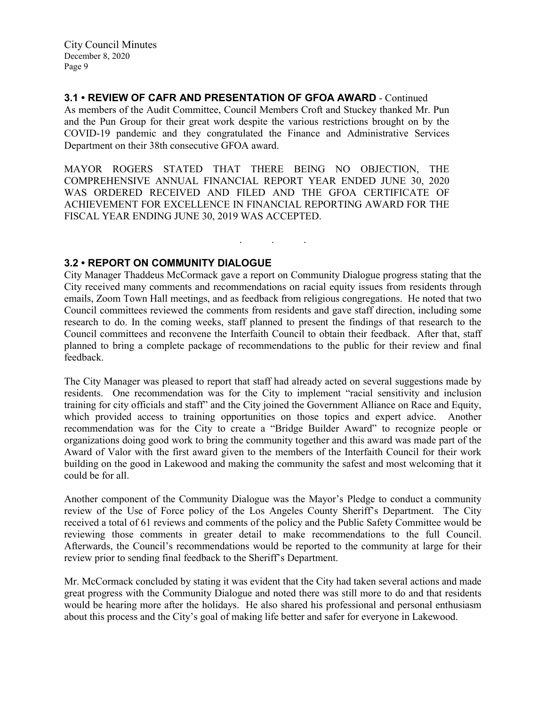## **3.1 • REVIEW OF CAFR AND PRESENTATION OF GFOA AWARD** - Continued

As members of the Audit Committee, Council Members Croft and Stuckey thanked Mr. Pun and the Pun Group for their great work despite the various restrictions brought on by the COVID-19 pandemic and they congratulated the Finance and Administrative Services Department on their 38th consecutive GFOA award.

MAYOR ROGERS STATED THAT THERE BEING NO OBJECTION, THE COMPREHENSIVE ANNUAL FINANCIAL REPORT YEAR ENDED JUNE 30, 2020 WAS ORDERED RECEIVED AND FILED AND THE GFOA CERTIFICATE OF ACHIEVEMENT FOR EXCELLENCE IN FINANCIAL REPORTING AWARD FOR THE FISCAL YEAR ENDING JUNE 30, 2019 WAS ACCEPTED.

### **3.2 • REPORT ON COMMUNITY DIALOGUE**

City Manager Thaddeus McCormack gave a report on Community Dialogue progress stating that the City received many comments and recommendations on racial equity issues from residents through emails, Zoom Town Hall meetings, and as feedback from religious congregations. He noted that two Council committees reviewed the comments from residents and gave staff direction, including some research to do. In the coming weeks, staff planned to present the findings of that research to the Council committees and reconvene the Interfaith Council to obtain their feedback. After that, staff planned to bring a complete package of recommendations to the public for their review and final feedback.

. . .

The City Manager was pleased to report that staff had already acted on several suggestions made by residents. One recommendation was for the City to implement "racial sensitivity and inclusion training for city officials and staff" and the City joined the Government Alliance on Race and Equity, which provided access to training opportunities on those topics and expert advice. Another recommendation was for the City to create a "Bridge Builder Award" to recognize people or organizations doing good work to bring the community together and this award was made part of the Award of Valor with the first award given to the members of the Interfaith Council for their work building on the good in Lakewood and making the community the safest and most welcoming that it could be for all.

Another component of the Community Dialogue was the Mayor's Pledge to conduct a community review of the Use of Force policy of the Los Angeles County Sheriff's Department. The City received a total of 61 reviews and comments of the policy and the Public Safety Committee would be reviewing those comments in greater detail to make recommendations to the full Council. Afterwards, the Council's recommendations would be reported to the community at large for their review prior to sending final feedback to the Sheriff's Department.

Mr. McCormack concluded by stating it was evident that the City had taken several actions and made great progress with the Community Dialogue and noted there was still more to do and that residents would be hearing more after the holidays. He also shared his professional and personal enthusiasm about this process and the City's goal of making life better and safer for everyone in Lakewood.